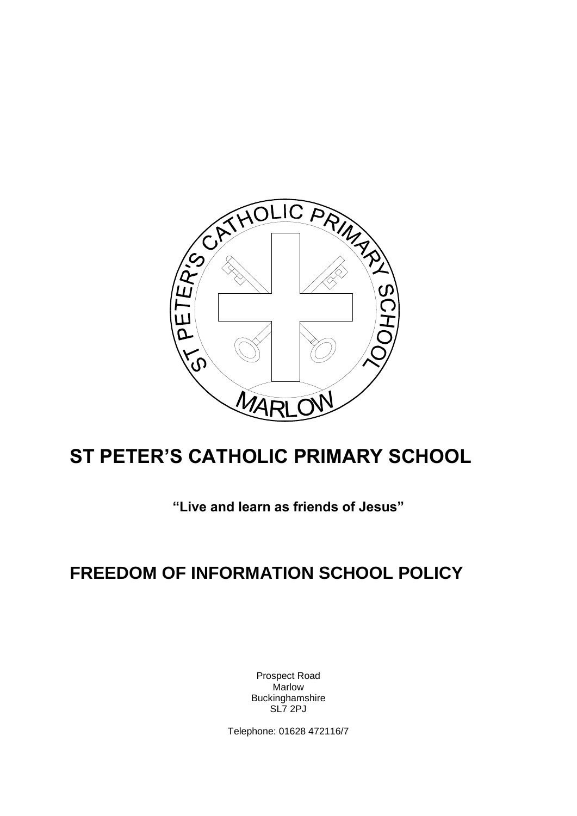

# **ST PETER'S CATHOLIC PRIMARY SCHOOL**

**"Live and learn as friends of Jesus"**

## **FREEDOM OF INFORMATION SCHOOL POLICY**

Prospect Road **Marlow** Buckinghamshire SL7 2PJ

Telephone: 01628 472116/7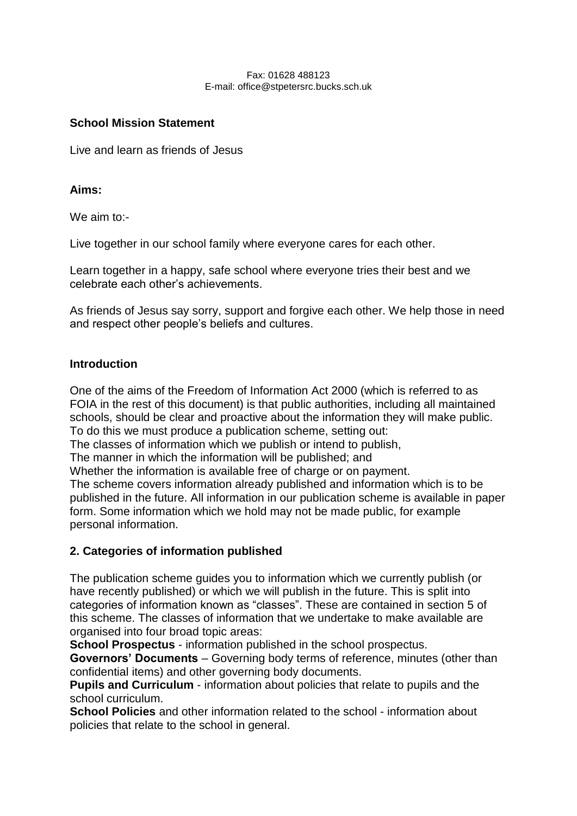#### Fax: 01628 488123 E-mail: office@stpetersrc.bucks.sch.uk

#### **School Mission Statement**

Live and learn as friends of Jesus

#### **Aims:**

We aim to:-

Live together in our school family where everyone cares for each other.

Learn together in a happy, safe school where everyone tries their best and we celebrate each other's achievements.

As friends of Jesus say sorry, support and forgive each other. We help those in need and respect other people's beliefs and cultures.

#### **Introduction**

One of the aims of the Freedom of Information Act 2000 (which is referred to as FOIA in the rest of this document) is that public authorities, including all maintained schools, should be clear and proactive about the information they will make public. To do this we must produce a publication scheme, setting out:

The classes of information which we publish or intend to publish,

The manner in which the information will be published; and

Whether the information is available free of charge or on payment.

The scheme covers information already published and information which is to be published in the future. All information in our publication scheme is available in paper form. Some information which we hold may not be made public, for example personal information.

#### **2. Categories of information published**

The publication scheme guides you to information which we currently publish (or have recently published) or which we will publish in the future. This is split into categories of information known as "classes". These are contained in section 5 of this scheme. The classes of information that we undertake to make available are organised into four broad topic areas:

**School Prospectus** - information published in the school prospectus.

**Governors' Documents** – Governing body terms of reference, minutes (other than confidential items) and other governing body documents.

**Pupils and Curriculum** - information about policies that relate to pupils and the school curriculum.

**School Policies** and other information related to the school - information about policies that relate to the school in general.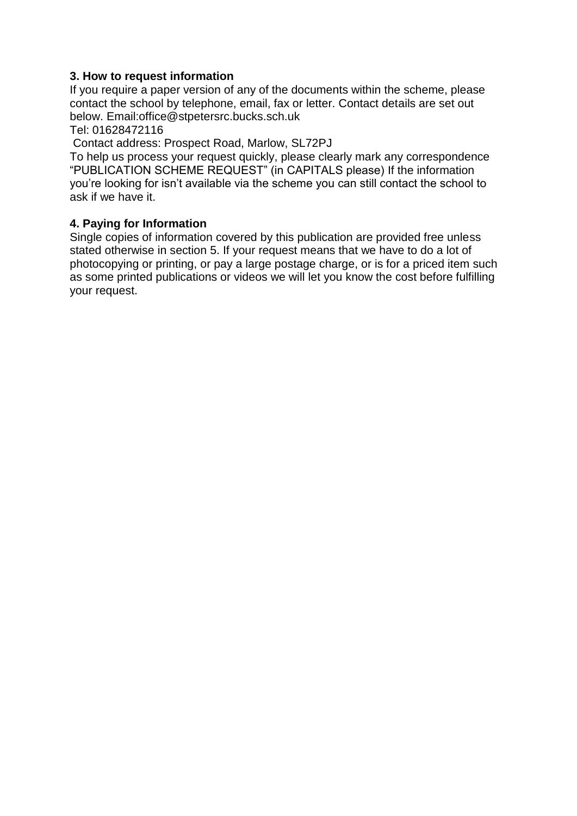#### **3. How to request information**

If you require a paper version of any of the documents within the scheme, please contact the school by telephone, email, fax or letter. Contact details are set out below. Email:office@stpetersrc.bucks.sch.uk

Tel: 01628472116

Contact address: Prospect Road, Marlow, SL72PJ

To help us process your request quickly, please clearly mark any correspondence "PUBLICATION SCHEME REQUEST" (in CAPITALS please) If the information you're looking for isn't available via the scheme you can still contact the school to ask if we have it.

#### **4. Paying for Information**

Single copies of information covered by this publication are provided free unless stated otherwise in section 5. If your request means that we have to do a lot of photocopying or printing, or pay a large postage charge, or is for a priced item such as some printed publications or videos we will let you know the cost before fulfilling your request.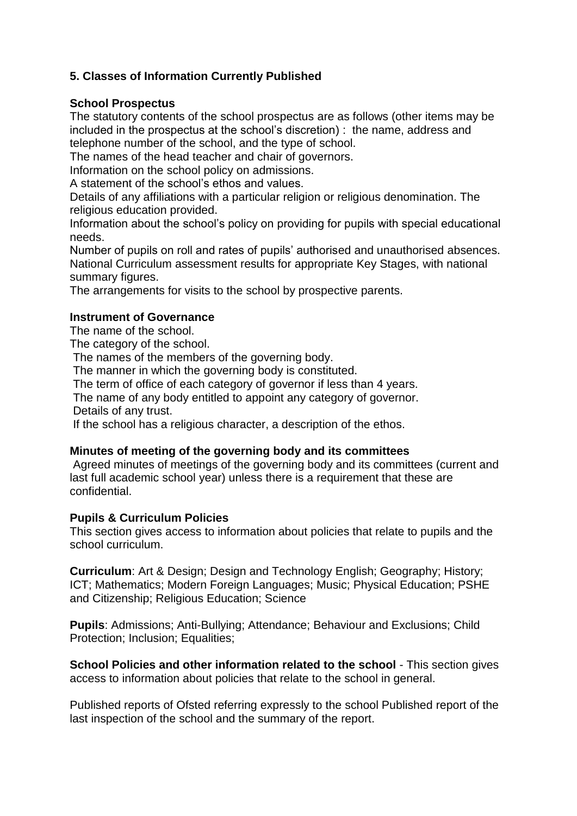### **5. Classes of Information Currently Published**

#### **School Prospectus**

The statutory contents of the school prospectus are as follows (other items may be included in the prospectus at the school's discretion) : the name, address and telephone number of the school, and the type of school.

The names of the head teacher and chair of governors.

Information on the school policy on admissions.

A statement of the school's ethos and values.

Details of any affiliations with a particular religion or religious denomination. The religious education provided.

Information about the school's policy on providing for pupils with special educational needs.

Number of pupils on roll and rates of pupils' authorised and unauthorised absences. National Curriculum assessment results for appropriate Key Stages, with national summary figures.

The arrangements for visits to the school by prospective parents.

#### **Instrument of Governance**

The name of the school.

The category of the school.

The names of the members of the governing body.

The manner in which the governing body is constituted.

The term of office of each category of governor if less than 4 years.

The name of any body entitled to appoint any category of governor.

Details of any trust.

If the school has a religious character, a description of the ethos.

#### **Minutes of meeting of the governing body and its committees**

Agreed minutes of meetings of the governing body and its committees (current and last full academic school year) unless there is a requirement that these are confidential.

#### **Pupils & Curriculum Policies**

This section gives access to information about policies that relate to pupils and the school curriculum.

**Curriculum**: Art & Design; Design and Technology English; Geography; History; ICT; Mathematics; Modern Foreign Languages; Music; Physical Education; PSHE and Citizenship; Religious Education; Science

**Pupils**: Admissions; Anti-Bullying; Attendance; Behaviour and Exclusions; Child Protection; Inclusion; Equalities;

**School Policies and other information related to the school** - This section gives access to information about policies that relate to the school in general.

Published reports of Ofsted referring expressly to the school Published report of the last inspection of the school and the summary of the report.